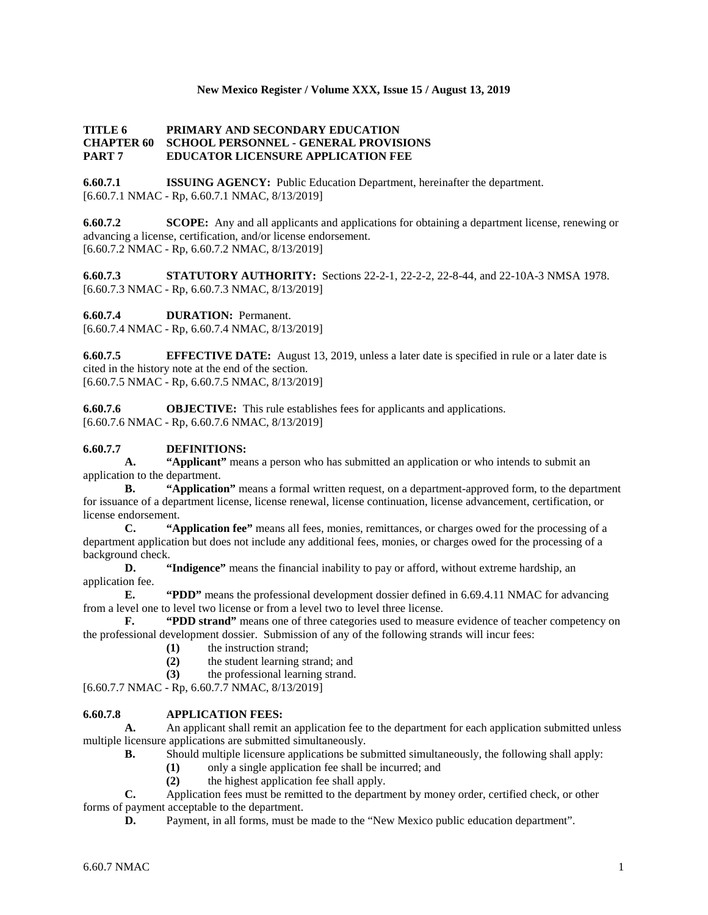## **New Mexico Register / Volume XXX, Issue 15 / August 13, 2019**

## **TITLE 6 PRIMARY AND SECONDARY EDUCATION CHAPTER 60 SCHOOL PERSONNEL - GENERAL PROVISIONS PART 7 EDUCATOR LICENSURE APPLICATION FEE**

**6.60.7.1 ISSUING AGENCY:** Public Education Department, hereinafter the department. [6.60.7.1 NMAC - Rp, 6.60.7.1 NMAC, 8/13/2019]

**6.60.7.2 SCOPE:** Any and all applicants and applications for obtaining a department license, renewing or advancing a license, certification, and/or license endorsement. [6.60.7.2 NMAC - Rp, 6.60.7.2 NMAC, 8/13/2019]

**6.60.7.3 STATUTORY AUTHORITY:** Sections 22-2-1, 22-2-2, 22-8-44, and 22-10A-3 NMSA 1978. [6.60.7.3 NMAC - Rp, 6.60.7.3 NMAC, 8/13/2019]

**6.60.7.4 DURATION:** Permanent.

[6.60.7.4 NMAC - Rp, 6.60.7.4 NMAC, 8/13/2019]

**6.60.7.5 EFFECTIVE DATE:** August 13, 2019, unless a later date is specified in rule or a later date is cited in the history note at the end of the section. [6.60.7.5 NMAC - Rp, 6.60.7.5 NMAC, 8/13/2019]

**6.60.7.6 OBJECTIVE:** This rule establishes fees for applicants and applications. [6.60.7.6 NMAC - Rp, 6.60.7.6 NMAC, 8/13/2019]

# **6.60.7.7 DEFINITIONS:**

**A. "Applicant"** means a person who has submitted an application or who intends to submit an application to the department.

**B. "Application"** means a formal written request, on a department-approved form, to the department for issuance of a department license, license renewal, license continuation, license advancement, certification, or license endorsement.

**C. "Application fee"** means all fees, monies, remittances, or charges owed for the processing of a department application but does not include any additional fees, monies, or charges owed for the processing of a background check.

**D. "Indigence"** means the financial inability to pay or afford, without extreme hardship, an application fee.

**E. "PDD"** means the professional development dossier defined in 6.69.4.11 NMAC for advancing from a level one to level two license or from a level two to level three license.<br> **F.** "PDD strand" means one of three categories used to measure

**F. "PDD strand"** means one of three categories used to measure evidence of teacher competency on the professional development dossier. Submission of any of the following strands will incur fees:

- (1) the instruction strand;<br>(2) the student learning strand
- **(2)** the student learning strand; and
- **(3)** the professional learning strand.

[6.60.7.7 NMAC - Rp, 6.60.7.7 NMAC, 8/13/2019]

# **6.60.7.8 APPLICATION FEES:**

**A.** An applicant shall remit an application fee to the department for each application submitted unless multiple licensure applications are submitted simultaneously.

- **B.** Should multiple licensure applications be submitted simultaneously, the following shall apply:
	- **(1)** only a single application fee shall be incurred; and
	- **(2)** the highest application fee shall apply.

**C.** Application fees must be remitted to the department by money order, certified check, or other forms of payment acceptable to the department.

**D.** Payment, in all forms, must be made to the "New Mexico public education department".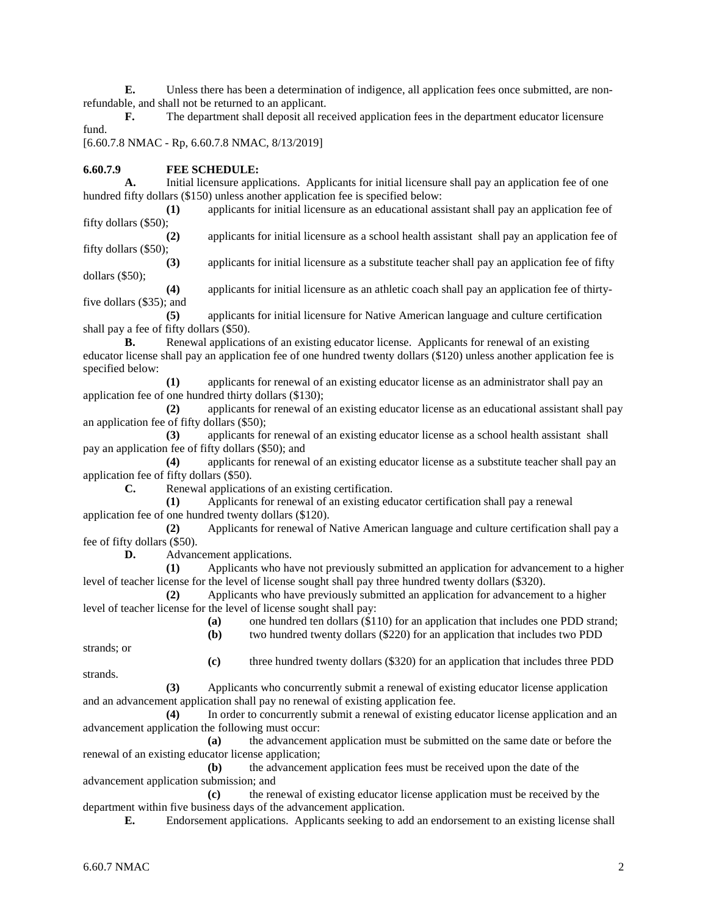**E.** Unless there has been a determination of indigence, all application fees once submitted, are nonrefundable, and shall not be returned to an applicant.

**F.** The department shall deposit all received application fees in the department educator licensure fund.

[6.60.7.8 NMAC - Rp, 6.60.7.8 NMAC, 8/13/2019]

## **6.60.7.9 FEE SCHEDULE:**

**A.** Initial licensure applications. Applicants for initial licensure shall pay an application fee of one hundred fifty dollars (\$150) unless another application fee is specified below:

**(1)** applicants for initial licensure as an educational assistant shall pay an application fee of fifty dollars (\$50);

**(2)** applicants for initial licensure as a school health assistant shall pay an application fee of fifty dollars (\$50);

**(3)** applicants for initial licensure as a substitute teacher shall pay an application fee of fifty dollars (\$50);

**(4)** applicants for initial licensure as an athletic coach shall pay an application fee of thirtyfive dollars (\$35); and

**(5)** applicants for initial licensure for Native American language and culture certification shall pay a fee of fifty dollars (\$50).

**B.** Renewal applications of an existing educator license. Applicants for renewal of an existing educator license shall pay an application fee of one hundred twenty dollars (\$120) unless another application fee is specified below:

**(1)** applicants for renewal of an existing educator license as an administrator shall pay an application fee of one hundred thirty dollars (\$130);

**(2)** applicants for renewal of an existing educator license as an educational assistant shall pay an application fee of fifty dollars (\$50);

**(3)** applicants for renewal of an existing educator license as a school health assistant shall pay an application fee of fifty dollars (\$50); and

**(4)** applicants for renewal of an existing educator license as a substitute teacher shall pay an application fee of fifty dollars (\$50).

**C.** Renewal applications of an existing certification.

**(1)** Applicants for renewal of an existing educator certification shall pay a renewal application fee of one hundred twenty dollars (\$120).

**(2)** Applicants for renewal of Native American language and culture certification shall pay a fee of fifty dollars (\$50).

**D.** Advancement applications.

**(1)** Applicants who have not previously submitted an application for advancement to a higher level of teacher license for the level of license sought shall pay three hundred twenty dollars (\$320).

**(2)** Applicants who have previously submitted an application for advancement to a higher level of teacher license for the level of license sought shall pay:

**(a)** one hundred ten dollars (\$110) for an application that includes one PDD strand;

**(b)** two hundred twenty dollars (\$220) for an application that includes two PDD

**(c)** three hundred twenty dollars (\$320) for an application that includes three PDD

strands; or strands.

- **(3)** Applicants who concurrently submit a renewal of existing educator license application and an advancement application shall pay no renewal of existing application fee.
- **(4)** In order to concurrently submit a renewal of existing educator license application and an advancement application the following must occur:

**(a)** the advancement application must be submitted on the same date or before the renewal of an existing educator license application;

**(b)** the advancement application fees must be received upon the date of the advancement application submission; and

**(c)** the renewal of existing educator license application must be received by the department within five business days of the advancement application.

**E.** Endorsement applications. Applicants seeking to add an endorsement to an existing license shall